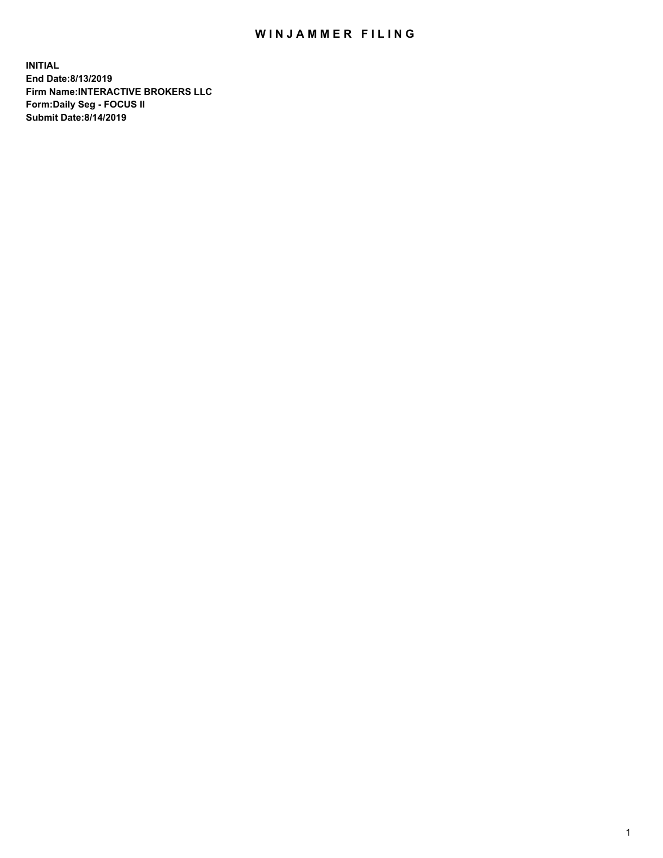## WIN JAMMER FILING

**INITIAL End Date:8/13/2019 Firm Name:INTERACTIVE BROKERS LLC Form:Daily Seg - FOCUS II Submit Date:8/14/2019**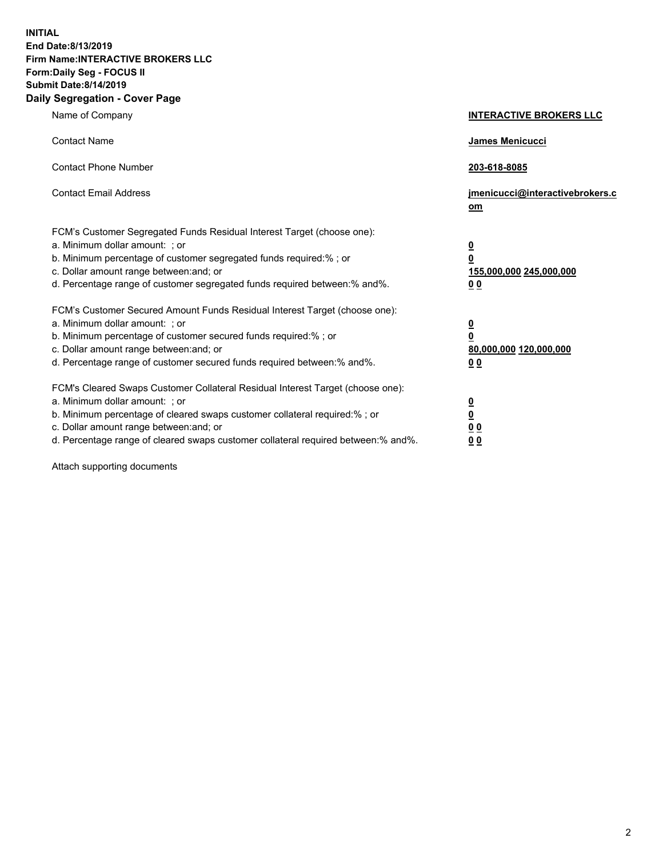**INITIAL End Date:8/13/2019 Firm Name:INTERACTIVE BROKERS LLC Form:Daily Seg - FOCUS II Submit Date:8/14/2019 Daily Segregation - Cover Page**

| Name of Company                                                                                                                                                                                                                                                                                                                | <b>INTERACTIVE BROKERS LLC</b>                                                                  |
|--------------------------------------------------------------------------------------------------------------------------------------------------------------------------------------------------------------------------------------------------------------------------------------------------------------------------------|-------------------------------------------------------------------------------------------------|
| <b>Contact Name</b>                                                                                                                                                                                                                                                                                                            | James Menicucci                                                                                 |
| <b>Contact Phone Number</b>                                                                                                                                                                                                                                                                                                    | 203-618-8085                                                                                    |
| <b>Contact Email Address</b>                                                                                                                                                                                                                                                                                                   | jmenicucci@interactivebrokers.c<br>$om$                                                         |
| FCM's Customer Segregated Funds Residual Interest Target (choose one):<br>a. Minimum dollar amount: ; or<br>b. Minimum percentage of customer segregated funds required:% ; or<br>c. Dollar amount range between: and; or<br>d. Percentage range of customer segregated funds required between:% and%.                         | $\overline{\mathbf{0}}$<br>$\overline{\mathbf{0}}$<br>155,000,000 245,000,000<br>0 <sub>0</sub> |
| FCM's Customer Secured Amount Funds Residual Interest Target (choose one):<br>a. Minimum dollar amount: ; or<br>b. Minimum percentage of customer secured funds required:%; or<br>c. Dollar amount range between: and; or<br>d. Percentage range of customer secured funds required between:% and%.                            | $\overline{\mathbf{0}}$<br>$\pmb{0}$<br>80,000,000 120,000,000<br>0 <sub>0</sub>                |
| FCM's Cleared Swaps Customer Collateral Residual Interest Target (choose one):<br>a. Minimum dollar amount: ; or<br>b. Minimum percentage of cleared swaps customer collateral required:% ; or<br>c. Dollar amount range between: and; or<br>d. Percentage range of cleared swaps customer collateral required between:% and%. | $\overline{\mathbf{0}}$<br>$\overline{\mathbf{0}}$<br>0 <sub>0</sub><br>0 <sub>0</sub>          |

Attach supporting documents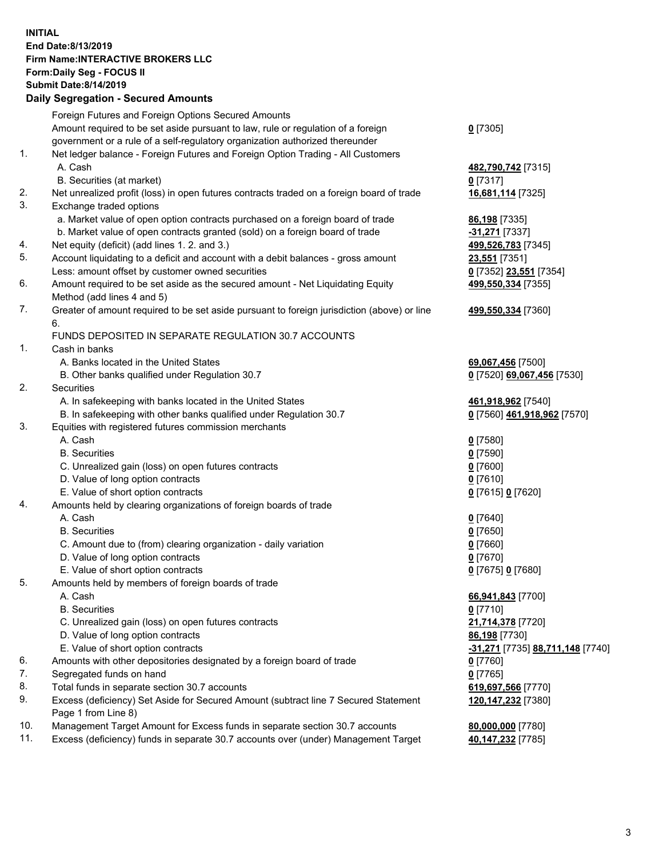## **INITIAL End Date:8/13/2019 Firm Name:INTERACTIVE BROKERS LLC Form:Daily Seg - FOCUS II Submit Date:8/14/2019 Daily Segregation - Secured Amounts**

|     | Daily Segregation - Secured Amounts                                                                        |                                                         |
|-----|------------------------------------------------------------------------------------------------------------|---------------------------------------------------------|
|     | Foreign Futures and Foreign Options Secured Amounts                                                        |                                                         |
|     | Amount required to be set aside pursuant to law, rule or regulation of a foreign                           | $0$ [7305]                                              |
|     | government or a rule of a self-regulatory organization authorized thereunder                               |                                                         |
| 1.  | Net ledger balance - Foreign Futures and Foreign Option Trading - All Customers                            |                                                         |
|     | A. Cash                                                                                                    | 482,790,742 [7315]                                      |
|     | B. Securities (at market)                                                                                  | $0$ [7317]                                              |
| 2.  | Net unrealized profit (loss) in open futures contracts traded on a foreign board of trade                  | 16,681,114 [7325]                                       |
| 3.  | Exchange traded options                                                                                    |                                                         |
|     | a. Market value of open option contracts purchased on a foreign board of trade                             | <b>86,198</b> [7335]                                    |
|     | b. Market value of open contracts granted (sold) on a foreign board of trade                               | -31,271 [7337]                                          |
| 4.  | Net equity (deficit) (add lines 1. 2. and 3.)                                                              | 499,526,783 [7345]                                      |
| 5.  | Account liquidating to a deficit and account with a debit balances - gross amount                          | 23,551 [7351]                                           |
|     | Less: amount offset by customer owned securities                                                           | 0 [7352] 23,551 [7354]                                  |
| 6.  | Amount required to be set aside as the secured amount - Net Liquidating Equity                             | 499,550,334 [7355]                                      |
|     | Method (add lines 4 and 5)                                                                                 |                                                         |
| 7.  | Greater of amount required to be set aside pursuant to foreign jurisdiction (above) or line                | 499,550,334 [7360]                                      |
|     | 6.                                                                                                         |                                                         |
| 1.  | FUNDS DEPOSITED IN SEPARATE REGULATION 30.7 ACCOUNTS<br>Cash in banks                                      |                                                         |
|     | A. Banks located in the United States                                                                      |                                                         |
|     | B. Other banks qualified under Regulation 30.7                                                             | 69,067,456 [7500]<br>0 [7520] 69,067,456 [7530]         |
| 2.  | Securities                                                                                                 |                                                         |
|     | A. In safekeeping with banks located in the United States                                                  | 461,918,962 [7540]                                      |
|     | B. In safekeeping with other banks qualified under Regulation 30.7                                         | 0 [7560] 461,918,962 [7570]                             |
| 3.  | Equities with registered futures commission merchants                                                      |                                                         |
|     | A. Cash                                                                                                    | $0$ [7580]                                              |
|     | <b>B.</b> Securities                                                                                       | $0$ [7590]                                              |
|     | C. Unrealized gain (loss) on open futures contracts                                                        | $0$ [7600]                                              |
|     | D. Value of long option contracts                                                                          | $0$ [7610]                                              |
|     | E. Value of short option contracts                                                                         | 0 [7615] 0 [7620]                                       |
| 4.  | Amounts held by clearing organizations of foreign boards of trade                                          |                                                         |
|     | A. Cash                                                                                                    | $0$ [7640]                                              |
|     | <b>B.</b> Securities                                                                                       | $0$ [7650]                                              |
|     | C. Amount due to (from) clearing organization - daily variation                                            | $0$ [7660]                                              |
|     | D. Value of long option contracts                                                                          | $0$ [7670]                                              |
|     | E. Value of short option contracts                                                                         | 0 [7675] 0 [7680]                                       |
| 5.  | Amounts held by members of foreign boards of trade                                                         |                                                         |
|     | A. Cash                                                                                                    | 66,941,843 [7700]                                       |
|     | <b>B.</b> Securities                                                                                       | $0$ [7710]                                              |
|     | C. Unrealized gain (loss) on open futures contracts                                                        | 21,714,378 [7720]                                       |
|     | D. Value of long option contracts                                                                          | 86,198 [7730]                                           |
|     | E. Value of short option contracts                                                                         | <u>-<b>31,271</b> [</u> 7735] <u>88,711,148 [</u> 7740] |
| 6.  | Amounts with other depositories designated by a foreign board of trade                                     | $0$ [7760]                                              |
| 7.  | Segregated funds on hand                                                                                   | $0$ [7765]                                              |
| 8.  | Total funds in separate section 30.7 accounts                                                              | 619,697,566 [7770]                                      |
| 9.  | Excess (deficiency) Set Aside for Secured Amount (subtract line 7 Secured Statement<br>Page 1 from Line 8) | 120, 147, 232 [7380]                                    |
| 10. | Management Target Amount for Excess funds in separate section 30.7 accounts                                | 80,000,000 [7780]                                       |
| 11. | Excess (deficiency) funds in separate 30.7 accounts over (under) Management Target                         | 40,147,232 [7785]                                       |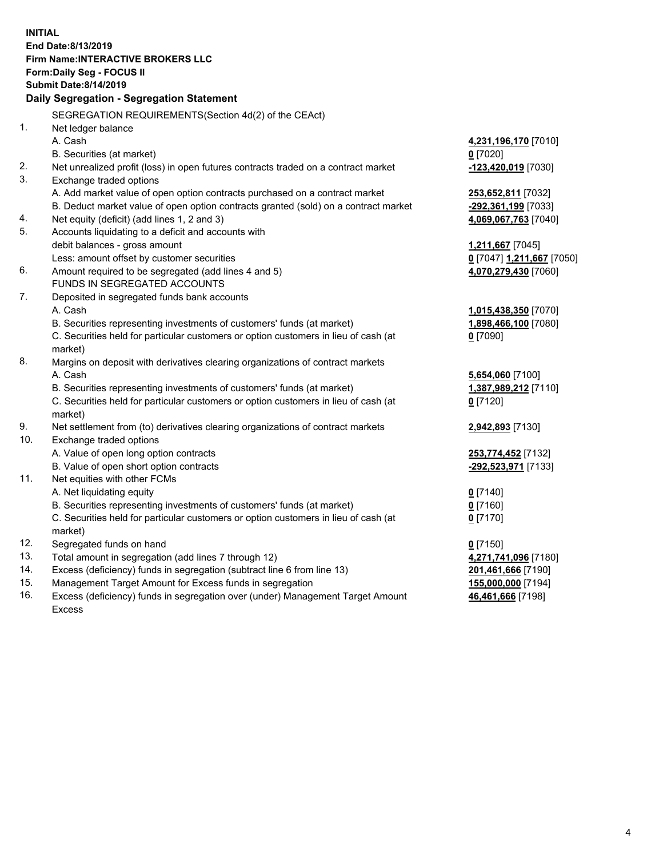**INITIAL End Date:8/13/2019 Firm Name:INTERACTIVE BROKERS LLC Form:Daily Seg - FOCUS II Submit Date:8/14/2019 Daily Segregation - Segregation Statement** SEGREGATION REQUIREMENTS(Section 4d(2) of the CEAct) 1. Net ledger balance A. Cash **4,231,196,170** [7010] B. Securities (at market) **0** [7020] 2. Net unrealized profit (loss) in open futures contracts traded on a contract market **-123,420,019** [7030] 3. Exchange traded options A. Add market value of open option contracts purchased on a contract market **253,652,811** [7032] B. Deduct market value of open option contracts granted (sold) on a contract market **-292,361,199** [7033] 4. Net equity (deficit) (add lines 1, 2 and 3) **4,069,067,763** [7040] 5. Accounts liquidating to a deficit and accounts with debit balances - gross amount **1,211,667** [7045] Less: amount offset by customer securities **0** [7047] **1,211,667** [7050] 6. Amount required to be segregated (add lines 4 and 5) **4,070,279,430** [7060] FUNDS IN SEGREGATED ACCOUNTS 7. Deposited in segregated funds bank accounts A. Cash **1,015,438,350** [7070] B. Securities representing investments of customers' funds (at market) **1,898,466,100** [7080] C. Securities held for particular customers or option customers in lieu of cash (at market) **0** [7090] 8. Margins on deposit with derivatives clearing organizations of contract markets A. Cash **5,654,060** [7100] B. Securities representing investments of customers' funds (at market) **1,387,989,212** [7110] C. Securities held for particular customers or option customers in lieu of cash (at market) **0** [7120] 9. Net settlement from (to) derivatives clearing organizations of contract markets **2,942,893** [7130] 10. Exchange traded options A. Value of open long option contracts **253,774,452** [7132] B. Value of open short option contracts **-292,523,971** [7133] 11. Net equities with other FCMs A. Net liquidating equity **0** [7140] B. Securities representing investments of customers' funds (at market) **0** [7160] C. Securities held for particular customers or option customers in lieu of cash (at market) **0** [7170] 12. Segregated funds on hand **0** [7150] 13. Total amount in segregation (add lines 7 through 12) **4,271,741,096** [7180] 14. Excess (deficiency) funds in segregation (subtract line 6 from line 13) **201,461,666** [7190] 15. Management Target Amount for Excess funds in segregation **155,000,000** [7194] **46,461,666** [7198]

16. Excess (deficiency) funds in segregation over (under) Management Target Amount Excess

4